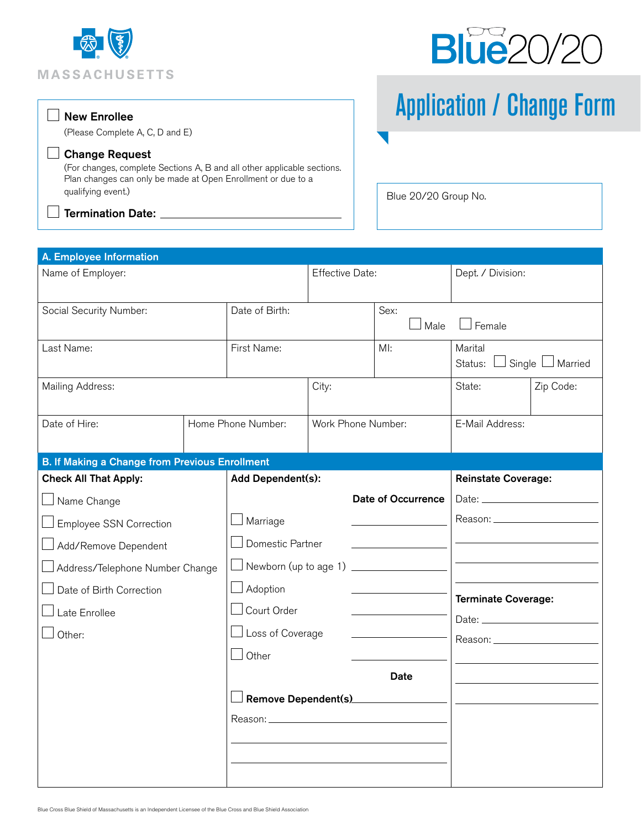



## Application / Change Form

(Please Complete A, C, D and E)

## Change Request

 $\Box$  New Enrollee

(For changes, complete Sections A, B and all other applicable sections. Plan changes can only be made at Open Enrollment or due to a qualifying event.)

 $\Box$  Termination Date:  $\_\_$ 

 $\overline{\phantom{a}}$ 

Blue 20/20 Group No.

| A. Employee Information                                                                                                                                                                                                        |       |                                          |                                    |                            |                                                        |  |  |  |  |
|--------------------------------------------------------------------------------------------------------------------------------------------------------------------------------------------------------------------------------|-------|------------------------------------------|------------------------------------|----------------------------|--------------------------------------------------------|--|--|--|--|
| Name of Employer:                                                                                                                                                                                                              |       | <b>Effective Date:</b>                   |                                    | Dept. / Division:          |                                                        |  |  |  |  |
| Social Security Number:                                                                                                                                                                                                        |       | Date of Birth:                           |                                    | Sex:<br>Male               | Female                                                 |  |  |  |  |
| Last Name:                                                                                                                                                                                                                     |       | First Name:                              |                                    | MI:                        | Marital<br>$\Box$ Single $\Box$ Married<br>Status:     |  |  |  |  |
| Mailing Address:                                                                                                                                                                                                               | City: |                                          | State:                             | Zip Code:                  |                                                        |  |  |  |  |
| Date of Hire:                                                                                                                                                                                                                  |       | Home Phone Number:<br>Work Phone Number: |                                    | E-Mail Address:            |                                                        |  |  |  |  |
| <b>B. If Making a Change from Previous Enrollment</b>                                                                                                                                                                          |       |                                          |                                    |                            |                                                        |  |  |  |  |
| <b>Check All That Apply:</b>                                                                                                                                                                                                   |       | Add Dependent(s):                        |                                    | <b>Reinstate Coverage:</b> |                                                        |  |  |  |  |
| □ Name Change                                                                                                                                                                                                                  |       | <b>Date of Occurrence</b>                |                                    |                            |                                                        |  |  |  |  |
| □ Employee SSN Correction<br>Add/Remove Dependent                                                                                                                                                                              |       | Marriage<br>Domestic Partner             |                                    |                            |                                                        |  |  |  |  |
|                                                                                                                                                                                                                                |       |                                          |                                    |                            |                                                        |  |  |  |  |
| $\Box$ Address/Telephone Number Change                                                                                                                                                                                         |       | Newborn (up to age 1) ______________     |                                    |                            |                                                        |  |  |  |  |
| Date of Birth Correction                                                                                                                                                                                                       |       | Adoption                                 |                                    |                            | <b>Terminate Coverage:</b><br>Reason: ________________ |  |  |  |  |
| Late Enrollee                                                                                                                                                                                                                  |       | $\mathrel{\mathsf{J}}$ Court Order       |                                    |                            |                                                        |  |  |  |  |
| Other:                                                                                                                                                                                                                         |       | $\Box$ Loss of Coverage                  |                                    |                            |                                                        |  |  |  |  |
|                                                                                                                                                                                                                                |       | Other                                    |                                    |                            |                                                        |  |  |  |  |
|                                                                                                                                                                                                                                |       |                                          |                                    | Date                       |                                                        |  |  |  |  |
|                                                                                                                                                                                                                                |       |                                          | Remove Dependent(s)_______________ |                            |                                                        |  |  |  |  |
| Reason: New York State State State State State State State State State State State State State State State State State State State State State State State State State State State State State State State State State State S |       |                                          |                                    |                            |                                                        |  |  |  |  |
|                                                                                                                                                                                                                                |       |                                          |                                    |                            |                                                        |  |  |  |  |
|                                                                                                                                                                                                                                |       |                                          |                                    |                            |                                                        |  |  |  |  |
|                                                                                                                                                                                                                                |       |                                          |                                    |                            |                                                        |  |  |  |  |